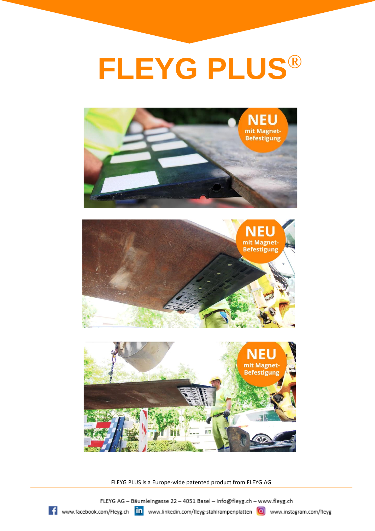





FLEYG PLUS is a Europe-wide patented product from FLEYG AG

FLEYG AG - Bäumleingasse 22 - 4051 Basel - info@fleyg.ch - www.fleyg.ch

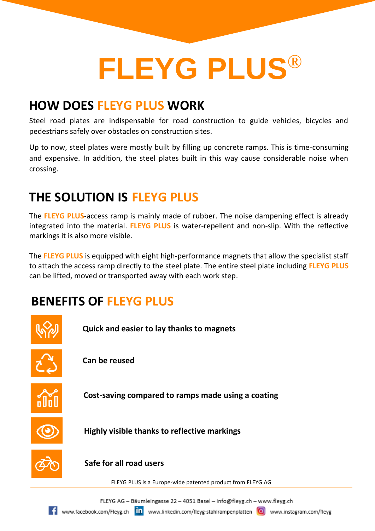#### **HOW DOES FLEYG PLUS WORK**

Steel road plates are indispensable for road construction to guide vehicles, bicycles and pedestrians safely over obstacles on construction sites.

Up to now, steel plates were mostly built by filling up concrete ramps. This is time-consuming and expensive. In addition, the steel plates built in this way cause considerable noise when crossing.

#### **THE SOLUTION IS FLEYG PLUS**

The **FLEYG PLUS**-access ramp is mainly made of rubber. The noise dampening effect is already integrated into the material. **FLEYG PLUS** is water-repellent and non-slip. With the reflective markings it is also more visible.

The **FLEYG PLUS** is equipped with eight high-performance magnets that allow the specialist staff to attach the access ramp directly to the steel plate. The entire steel plate including **FLEYG PLUS**  can be lifted, moved or transported away with each work step.

#### **BENEFITS OF FLEYG PLUS**

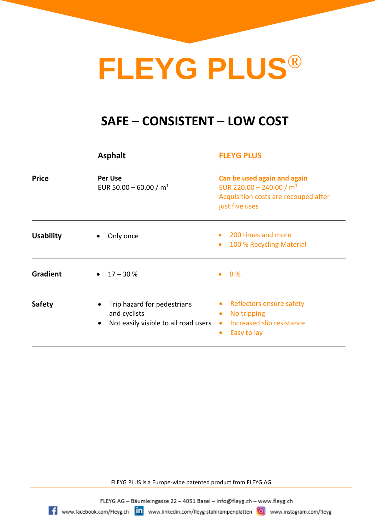#### **SAFE – CONSISTENT – LOW COST**

|                  | <b>Asphalt</b>                                                                                                | <b>FLEYG PLUS</b>                                                                                                                       |
|------------------|---------------------------------------------------------------------------------------------------------------|-----------------------------------------------------------------------------------------------------------------------------------------|
| <b>Price</b>     | <b>Per Use</b><br>EUR 50.00 - 60.00 / $m1$                                                                    | Can be used again and again<br>EUR 220.00 - 240.00 / $m1$<br>Acquisition costs are recouped after<br>just five uses                     |
| <b>Usability</b> | Only once<br>$\bullet$                                                                                        | 200 times and more<br>$\bullet$<br>100 % Recycling Material<br>$\bullet$                                                                |
| Gradient         | $17 - 30%$<br>$\bullet$                                                                                       | 8 %<br>$\bullet$                                                                                                                        |
| <b>Safety</b>    | Trip hazard for pedestrians<br>$\bullet$<br>and cyclists<br>Not easily visible to all road users<br>$\bullet$ | Reflectors ensure safety<br>$\bullet$<br>No tripping<br>$\bullet$<br>Increased slip resistance<br>$\bullet$<br>Easy to lay<br>$\bullet$ |

FLEYG PLUS is a Europe-wide patented product from FLEYG AG

FLEYG AG - Bäumleingasse 22 - 4051 Basel - info@fleyg.ch - www.fleyg.ch